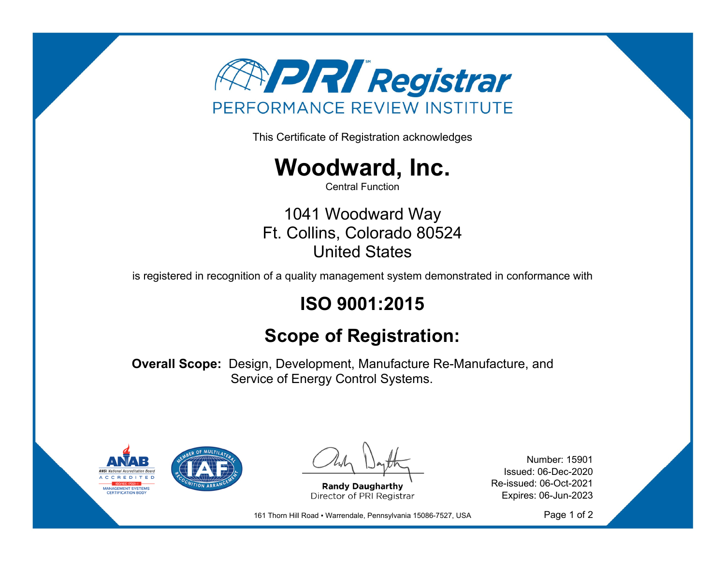

This Certificate of Registration acknowledges



Central Function

1041 Woodward Way Ft. Collins, Colorado 80524 United States

is registered in recognition of a quality management system demonstrated in conformance with

## **ISO 9001:2015**

## **Scope of Registration:**

**Overall Scope:** Design, Development, Manufacture Re-Manufacture, and Service of Energy Control Systems.



**Randy Daugharthy** Director of PRI Registrar

Number: 15901 Issued: 06-Dec-2020 Re-issued: 06-Oct-2021 Expires: 06-Jun-2023

161 Thorn Hill Road · Warrendale, Pennsylvania 15086-7527, USA

Page 1 of 2